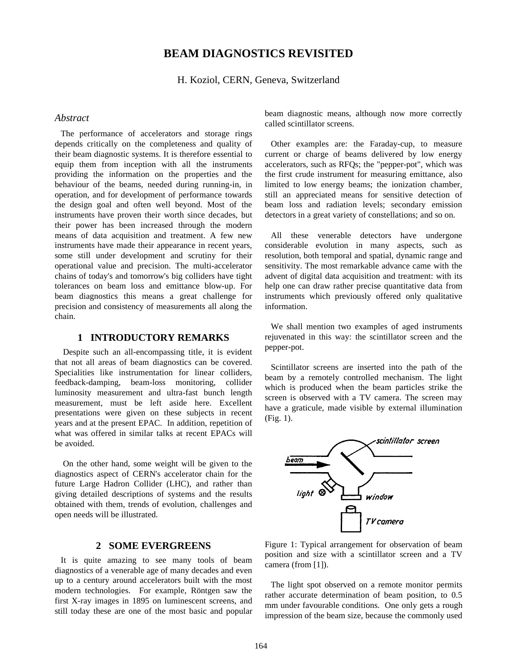# **BEAM DIAGNOSTICS REVISITED**

H. Koziol, CERN, Geneva, Switzerland

### *Abstract*

The performance of accelerators and storage rings depends critically on the completeness and quality of their beam diagnostic systems. It is therefore essential to equip them from inception with all the instruments providing the information on the properties and the behaviour of the beams, needed during running-in, in operation, and for development of performance towards the design goal and often well beyond. Most of the instruments have proven their worth since decades, but their power has been increased through the modern means of data acquisition and treatment. A few new instruments have made their appearance in recent years, some still under development and scrutiny for their operational value and precision. The multi-accelerator chains of today's and tomorrow's big colliders have tight tolerances on beam loss and emittance blow-up. For beam diagnostics this means a great challenge for precision and consistency of measurements all along the chain.

# **1 INTRODUCTORY REMARKS**

Despite such an all-encompassing title, it is evident that not all areas of beam diagnostics can be covered. Specialities like instrumentation for linear colliders, feedback-damping, beam-loss monitoring, collider luminosity measurement and ultra-fast bunch length measurement, must be left aside here. Excellent presentations were given on these subjects in recent years and at the present EPAC. In addition, repetition of what was offered in similar talks at recent EPACs will be avoided.

On the other hand, some weight will be given to the diagnostics aspect of CERN's accelerator chain for the future Large Hadron Collider (LHC), and rather than giving detailed descriptions of systems and the results obtained with them, trends of evolution, challenges and open needs will be illustrated.

# **2 SOME EVERGREENS**

It is quite amazing to see many tools of beam diagnostics of a venerable age of many decades and even up to a century around accelerators built with the most modern technologies. For example, Röntgen saw the first X-ray images in 1895 on luminescent screens, and still today these are one of the most basic and popular beam diagnostic means, although now more correctly called scintillator screens.

Other examples are: the Faraday-cup, to measure current or charge of beams delivered by low energy accelerators, such as RFQs; the "pepper-pot", which was the first crude instrument for measuring emittance, also limited to low energy beams; the ionization chamber, still an appreciated means for sensitive detection of beam loss and radiation levels; secondary emission detectors in a great variety of constellations; and so on.

All these venerable detectors have undergone considerable evolution in many aspects, such as resolution, both temporal and spatial, dynamic range and sensitivity. The most remarkable advance came with the advent of digital data acquisition and treatment: with its help one can draw rather precise quantitative data from instruments which previously offered only qualitative information.

We shall mention two examples of aged instruments rejuvenated in this way: the scintillator screen and the pepper-pot.

Scintillator screens are inserted into the path of the beam by a remotely controlled mechanism. The light which is produced when the beam particles strike the screen is observed with a TV camera. The screen may have a graticule, made visible by external illumination (Fig. 1).



Figure 1: Typical arrangement for observation of beam position and size with a scintillator screen and a TV camera (from [1]).

The light spot observed on a remote monitor permits rather accurate determination of beam position, to 0.5 mm under favourable conditions. One only gets a rough impression of the beam size, because the commonly used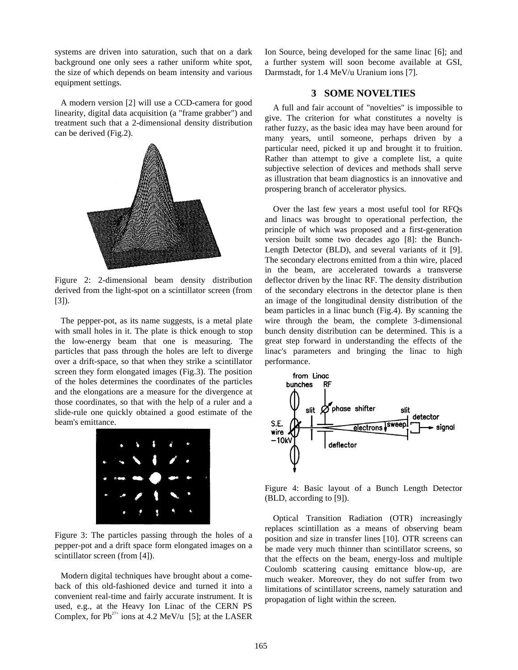systems are driven into saturation, such that on a dark background one only sees a rather uniform white spot, the size of which depends on beam intensity and various equipment settings.

A modern version [2] will use a CCD-camera for good linearity, digital data acquisition (a "frame grabber") and treatment such that a 2-dimensional density distribution can be derived (Fig.2).



Figure 2: 2-dimensional beam density distribution derived from the light-spot on a scintillator screen (from [3]).

The pepper-pot, as its name suggests, is a metal plate with small holes in it. The plate is thick enough to stop the low-energy beam that one is measuring. The particles that pass through the holes are left to diverge over a drift-space, so that when they strike a scintillator screen they form elongated images (Fig.3). The position of the holes determines the coordinates of the particles and the elongations are a measure for the divergence at those coordinates, so that with the help of a ruler and a slide-rule one quickly obtained a good estimate of the beam's emittance.



Figure 3: The particles passing through the holes of a pepper-pot and a drift space form elongated images on a scintillator screen (from [4]).

Modern digital techniques have brought about a comeback of this old-fashioned device and turned it into a convenient real-time and fairly accurate instrument. It is used, e.g., at the Heavy Ion Linac of the CERN PS Complex, for  $Pb^{27+}$  ions at 4.2 MeV/u [5]; at the LASER

Ion Source, being developed for the same linac [6]; and a further system will soon become available at GSI, Darmstadt, for 1.4 MeV/u Uranium ions [7].

# **3 SOME NOVELTIES**

A full and fair account of "novelties" is impossible to give. The criterion for what constitutes a novelty is rather fuzzy, as the basic idea may have been around for many years, until someone, perhaps driven by a particular need, picked it up and brought it to fruition. Rather than attempt to give a complete list, a quite subjective selection of devices and methods shall serve as illustration that beam diagnostics is an innovative and prospering branch of accelerator physics.

Over the last few years a most useful tool for RFQs and linacs was brought to operational perfection, the principle of which was proposed and a first-generation version built some two decades ago [8]: the Bunch-Length Detector (BLD), and several variants of it [9]. The secondary electrons emitted from a thin wire, placed in the beam, are accelerated towards a transverse deflector driven by the linac RF. The density distribution of the secondary electrons in the detector plane is then an image of the longitudinal density distribution of the beam particles in a linac bunch (Fig.4). By scanning the wire through the beam, the complete 3-dimensional bunch density distribution can be determined. This is a great step forward in understanding the effects of the linac's parameters and bringing the linac to high performance.



Figure 4: Basic layout of a Bunch Length Detector (BLD, according to [9]).

Optical Transition Radiation (OTR) increasingly replaces scintillation as a means of observing beam position and size in transfer lines [10]. OTR screens can be made very much thinner than scintillator screens, so that the effects on the beam, energy-loss and multiple Coulomb scattering causing emittance blow-up, are much weaker. Moreover, they do not suffer from two limitations of scintillator screens, namely saturation and propagation of light within the screen.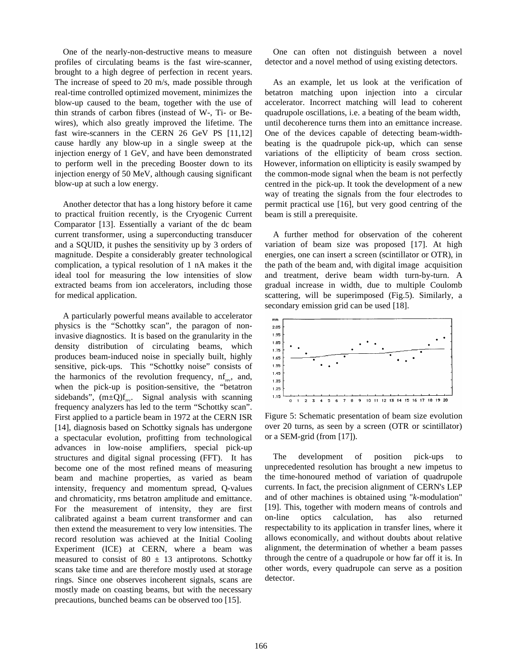One of the nearly-non-destructive means to measure profiles of circulating beams is the fast wire-scanner, brought to a high degree of perfection in recent years. The increase of speed to 20 m/s, made possible through real-time controlled optimized movement, minimizes the blow-up caused to the beam, together with the use of thin strands of carbon fibres (instead of W-, Ti- or Bewires), which also greatly improved the lifetime. The fast wire-scanners in the CERN 26 GeV PS [11,12] cause hardly any blow-up in a single sweep at the injection energy of 1 GeV, and have been demonstrated to perform well in the preceding Booster down to its injection energy of 50 MeV, although causing significant blow-up at such a low energy.

Another detector that has a long history before it came to practical fruition recently, is the Cryogenic Current Comparator [13]. Essentially a variant of the dc beam current transformer, using a superconducting transducer and a SQUID, it pushes the sensitivity up by 3 orders of magnitude. Despite a considerably greater technological complication, a typical resolution of 1 nA makes it the ideal tool for measuring the low intensities of slow extracted beams from ion accelerators, including those for medical application.

A particularly powerful means available to accelerator physics is the "Schottky scan", the paragon of noninvasive diagnostics. It is based on the granularity in the density distribution of circulating beams, which produces beam-induced noise in specially built, highly sensitive, pick-ups. This "Schottky noise" consists of the harmonics of the revolution frequency,  $nf_{av}$ , and, when the pick-up is position-sensitive, the "betatron sidebands",  $(m\pm Q)f_{rev}$ . Signal analysis with scanning frequency analyzers has led to the term "Schottky scan". First applied to a particle beam in 1972 at the CERN ISR [14], diagnosis based on Schottky signals has undergone a spectacular evolution, profitting from technological advances in low-noise amplifiers, special pick-up structures and digital signal processing (FFT). It has become one of the most refined means of measuring beam and machine properties, as varied as beam intensity, frequency and momentum spread, Q-values and chromaticity, rms betatron amplitude and emittance. For the measurement of intensity, they are first calibrated against a beam current transformer and can then extend the measurement to very low intensities. The record resolution was achieved at the Initial Cooling Experiment (ICE) at CERN, where a beam was measured to consist of 80  $\pm$  13 antiprotons. Schottky scans take time and are therefore mostly used at storage rings. Since one observes incoherent signals, scans are mostly made on coasting beams, but with the necessary precautions, bunched beams can be observed too [15].

One can often not distinguish between a novel detector and a novel method of using existing detectors.

As an example, let us look at the verification of betatron matching upon injection into a circular accelerator. Incorrect matching will lead to coherent quadrupole oscillations, i.e. a beating of the beam width, until decoherence turns them into an emittance increase. One of the devices capable of detecting beam-widthbeating is the quadrupole pick-up, which can sense variations of the ellipticity of beam cross section. However, information on ellipticity is easily swamped by the common-mode signal when the beam is not perfectly centred in the pick-up. It took the development of a new way of treating the signals from the four electrodes to permit practical use [16], but very good centring of the beam is still a prerequisite.

A further method for observation of the coherent variation of beam size was proposed [17]. At high energies, one can insert a screen (scintillator or OTR), in the path of the beam and, with digital image acquisition and treatment, derive beam width turn-by-turn. A gradual increase in width, due to multiple Coulomb scattering, will be superimposed (Fig.5). Similarly, a secondary emission grid can be used [18].



Figure 5: Schematic presentation of beam size evolution over 20 turns, as seen by a screen (OTR or scintillator) or a SEM-grid (from [17]).

The development of position pick-ups to unprecedented resolution has brought a new impetus to the time-honoured method of variation of quadrupole currents. In fact, the precision alignment of CERN's LEP and of other machines is obtained using "*k*-modulation" [19]. This, together with modern means of controls and on-line optics calculation, has also returned respectability to its application in transfer lines, where it allows economically, and without doubts about relative alignment, the determination of whether a beam passes through the centre of a quadrupole or how far off it is. In other words, every quadrupole can serve as a position detector.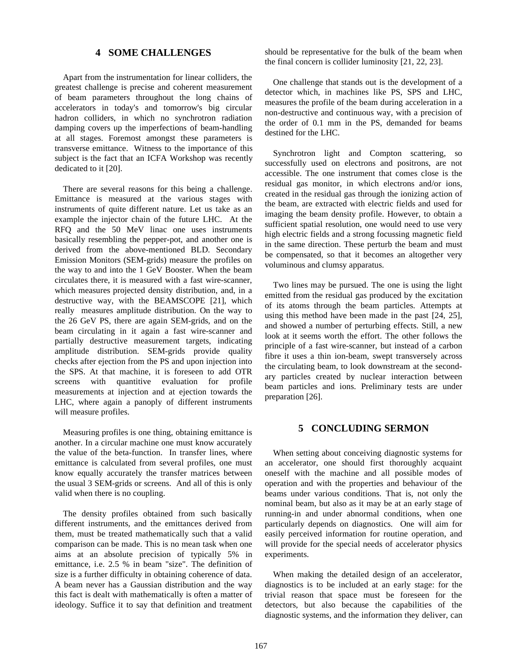# **4 SOME CHALLENGES**

Apart from the instrumentation for linear colliders, the greatest challenge is precise and coherent measurement of beam parameters throughout the long chains of accelerators in today's and tomorrow's big circular hadron colliders, in which no synchrotron radiation damping covers up the imperfections of beam-handling at all stages. Foremost amongst these parameters is transverse emittance. Witness to the importance of this subject is the fact that an ICFA Workshop was recently dedicated to it [20].

There are several reasons for this being a challenge. Emittance is measured at the various stages with instruments of quite different nature. Let us take as an example the injector chain of the future LHC. At the RFQ and the 50 MeV linac one uses instruments basically resembling the pepper-pot, and another one is derived from the above-mentioned BLD. Secondary Emission Monitors (SEM-grids) measure the profiles on the way to and into the 1 GeV Booster. When the beam circulates there, it is measured with a fast wire-scanner, which measures projected density distribution, and, in a destructive way, with the BEAMSCOPE [21], which really measures amplitude distribution. On the way to the 26 GeV PS, there are again SEM-grids, and on the beam circulating in it again a fast wire-scanner and partially destructive measurement targets, indicating amplitude distribution. SEM-grids provide quality checks after ejection from the PS and upon injection into the SPS. At that machine, it is foreseen to add OTR screens with quantitive evaluation for profile measurements at injection and at ejection towards the LHC, where again a panoply of different instruments will measure profiles.

Measuring profiles is one thing, obtaining emittance is another. In a circular machine one must know accurately the value of the beta-function. In transfer lines, where emittance is calculated from several profiles, one must know equally accurately the transfer matrices between the usual 3 SEM-grids or screens. And all of this is only valid when there is no coupling.

The density profiles obtained from such basically different instruments, and the emittances derived from them, must be treated mathematically such that a valid comparison can be made. This is no mean task when one aims at an absolute precision of typically 5% in emittance, i.e. 2.5 % in beam "size". The definition of size is a further difficulty in obtaining coherence of data. A beam never has a Gaussian distribution and the way this fact is dealt with mathematically is often a matter of ideology. Suffice it to say that definition and treatment

should be representative for the bulk of the beam when the final concern is collider luminosity [21, 22, 23].

One challenge that stands out is the development of a detector which, in machines like PS, SPS and LHC, measures the profile of the beam during acceleration in a non-destructive and continuous way, with a precision of the order of 0.1 mm in the PS, demanded for beams destined for the LHC.

Synchrotron light and Compton scattering, so successfully used on electrons and positrons, are not accessible. The one instrument that comes close is the residual gas monitor, in which electrons and/or ions, created in the residual gas through the ionizing action of the beam, are extracted with electric fields and used for imaging the beam density profile. However, to obtain a sufficient spatial resolution, one would need to use very high electric fields and a strong focussing magnetic field in the same direction. These perturb the beam and must be compensated, so that it becomes an altogether very voluminous and clumsy apparatus.

Two lines may be pursued. The one is using the light emitted from the residual gas produced by the excitation of its atoms through the beam particles. Attempts at using this method have been made in the past [24, 25], and showed a number of perturbing effects. Still, a new look at it seems worth the effort. The other follows the principle of a fast wire-scanner, but instead of a carbon fibre it uses a thin ion-beam, swept transversely across the circulating beam, to look downstream at the secondary particles created by nuclear interaction between beam particles and ions. Preliminary tests are under preparation [26].

## **5 CONCLUDING SERMON**

When setting about conceiving diagnostic systems for an accelerator, one should first thoroughly acquaint oneself with the machine and all possible modes of operation and with the properties and behaviour of the beams under various conditions. That is, not only the nominal beam, but also as it may be at an early stage of running-in and under abnormal conditions, when one particularly depends on diagnostics. One will aim for easily perceived information for routine operation, and will provide for the special needs of accelerator physics experiments.

When making the detailed design of an accelerator, diagnostics is to be included at an early stage: for the trivial reason that space must be foreseen for the detectors, but also because the capabilities of the diagnostic systems, and the information they deliver, can